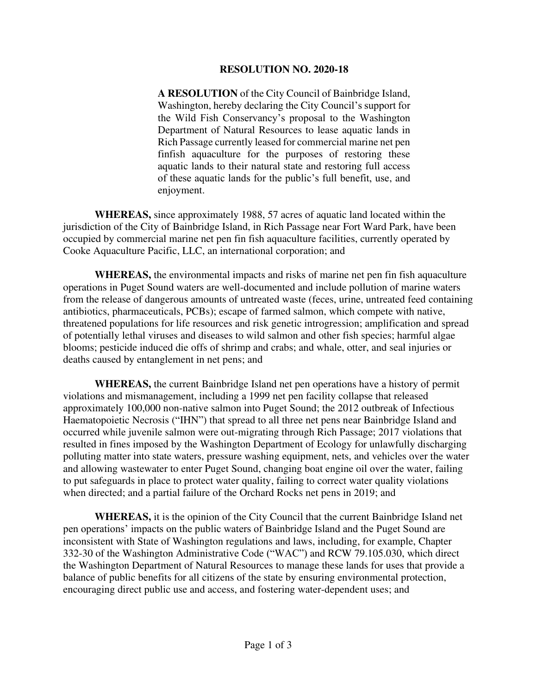## **RESOLUTION NO. 2020-18**

**A RESOLUTION** of the City Council of Bainbridge Island, Washington, hereby declaring the City Council's support for the Wild Fish Conservancy's proposal to the Washington Department of Natural Resources to lease aquatic lands in Rich Passage currently leased for commercial marine net pen finfish aquaculture for the purposes of restoring these aquatic lands to their natural state and restoring full access of these aquatic lands for the public's full benefit, use, and enjoyment.

 **WHEREAS,** since approximately 1988, 57 acres of aquatic land located within the jurisdiction of the City of Bainbridge Island, in Rich Passage near Fort Ward Park, have been occupied by commercial marine net pen fin fish aquaculture facilities, currently operated by Cooke Aquaculture Pacific, LLC, an international corporation; and

 **WHEREAS,** the environmental impacts and risks of marine net pen fin fish aquaculture operations in Puget Sound waters are well-documented and include pollution of marine waters from the release of dangerous amounts of untreated waste (feces, urine, untreated feed containing antibiotics, pharmaceuticals, PCBs); escape of farmed salmon, which compete with native, threatened populations for life resources and risk genetic introgression; amplification and spread of potentially lethal viruses and diseases to wild salmon and other fish species; harmful algae blooms; pesticide induced die offs of shrimp and crabs; and whale, otter, and seal injuries or deaths caused by entanglement in net pens; and

 **WHEREAS,** the current Bainbridge Island net pen operations have a history of permit violations and mismanagement, including a 1999 net pen facility collapse that released approximately 100,000 non-native salmon into Puget Sound; the 2012 outbreak of Infectious Haematopoietic Necrosis ("IHN") that spread to all three net pens near Bainbridge Island and occurred while juvenile salmon were out-migrating through Rich Passage; 2017 violations that resulted in fines imposed by the Washington Department of Ecology for unlawfully discharging polluting matter into state waters, pressure washing equipment, nets, and vehicles over the water and allowing wastewater to enter Puget Sound, changing boat engine oil over the water, failing to put safeguards in place to protect water quality, failing to correct water quality violations when directed; and a partial failure of the Orchard Rocks net pens in 2019; and

 **WHEREAS,** it is the opinion of the City Council that the current Bainbridge Island net pen operations' impacts on the public waters of Bainbridge Island and the Puget Sound are inconsistent with State of Washington regulations and laws, including, for example, Chapter 332-30 of the Washington Administrative Code ("WAC") and RCW 79.105.030, which direct the Washington Department of Natural Resources to manage these lands for uses that provide a balance of public benefits for all citizens of the state by ensuring environmental protection, encouraging direct public use and access, and fostering water-dependent uses; and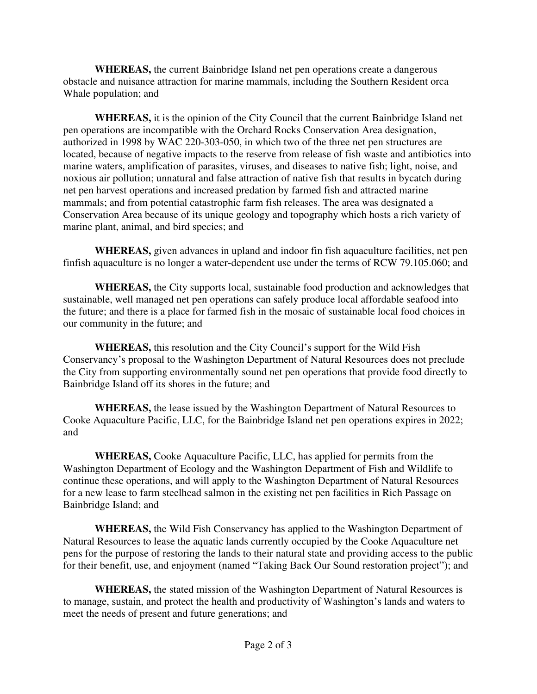**WHEREAS,** the current Bainbridge Island net pen operations create a dangerous obstacle and nuisance attraction for marine mammals, including the Southern Resident orca Whale population; and

 **WHEREAS,** it is the opinion of the City Council that the current Bainbridge Island net pen operations are incompatible with the Orchard Rocks Conservation Area designation, authorized in 1998 by WAC 220-303-050, in which two of the three net pen structures are located, because of negative impacts to the reserve from release of fish waste and antibiotics into marine waters, amplification of parasites, viruses, and diseases to native fish; light, noise, and noxious air pollution; unnatural and false attraction of native fish that results in bycatch during net pen harvest operations and increased predation by farmed fish and attracted marine mammals; and from potential catastrophic farm fish releases. The area was designated a Conservation Area because of its unique geology and topography which hosts a rich variety of marine plant, animal, and bird species; and

 **WHEREAS,** given advances in upland and indoor fin fish aquaculture facilities, net pen finfish aquaculture is no longer a water-dependent use under the terms of RCW 79.105.060; and

 **WHEREAS,** the City supports local, sustainable food production and acknowledges that sustainable, well managed net pen operations can safely produce local affordable seafood into the future; and there is a place for farmed fish in the mosaic of sustainable local food choices in our community in the future; and

 **WHEREAS,** this resolution and the City Council's support for the Wild Fish Conservancy's proposal to the Washington Department of Natural Resources does not preclude the City from supporting environmentally sound net pen operations that provide food directly to Bainbridge Island off its shores in the future; and

 **WHEREAS,** the lease issued by the Washington Department of Natural Resources to Cooke Aquaculture Pacific, LLC, for the Bainbridge Island net pen operations expires in 2022; and

 **WHEREAS,** Cooke Aquaculture Pacific, LLC, has applied for permits from the Washington Department of Ecology and the Washington Department of Fish and Wildlife to continue these operations, and will apply to the Washington Department of Natural Resources for a new lease to farm steelhead salmon in the existing net pen facilities in Rich Passage on Bainbridge Island; and

 **WHEREAS,** the Wild Fish Conservancy has applied to the Washington Department of Natural Resources to lease the aquatic lands currently occupied by the Cooke Aquaculture net pens for the purpose of restoring the lands to their natural state and providing access to the public for their benefit, use, and enjoyment (named "Taking Back Our Sound restoration project"); and

 **WHEREAS,** the stated mission of the Washington Department of Natural Resources is to manage, sustain, and protect the health and productivity of Washington's lands and waters to meet the needs of present and future generations; and